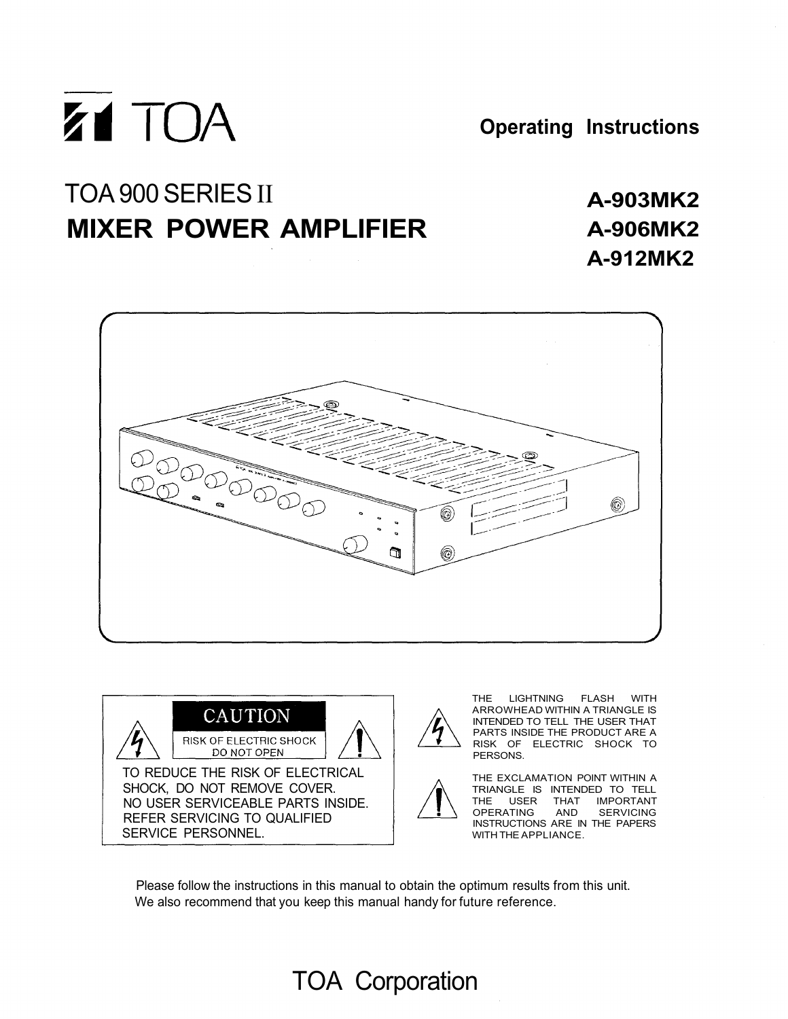

**Operating Instructions**

# TOA 900 SERIES II **MIXER POWER AMPLIFIER**

# **A-903MK2 A-906MK2 A-912MK2**







THE LIGHTNING FLASH WITH ARROWHEAD WITHIN A TRIANGLE IS INTENDED TO TELL THE USER THAT PARTS INSIDE THE PRODUCT ARE A RISK OF ELECTRIC SHOCK TO

THE EXCLAMATION POINT WITHIN A TRIANGLE IS INTENDED TO TELL THE USER THAT IMPORTANT OPERATING AND SERVICING INSTRUCTIONS ARE IN THE PAPERS WITH THE APPLIANCE.

Please follow the instructions in this manual to obtain the optimum results from this unit. We also recommend that you keep this manual handy for future reference.

# TOA Corporation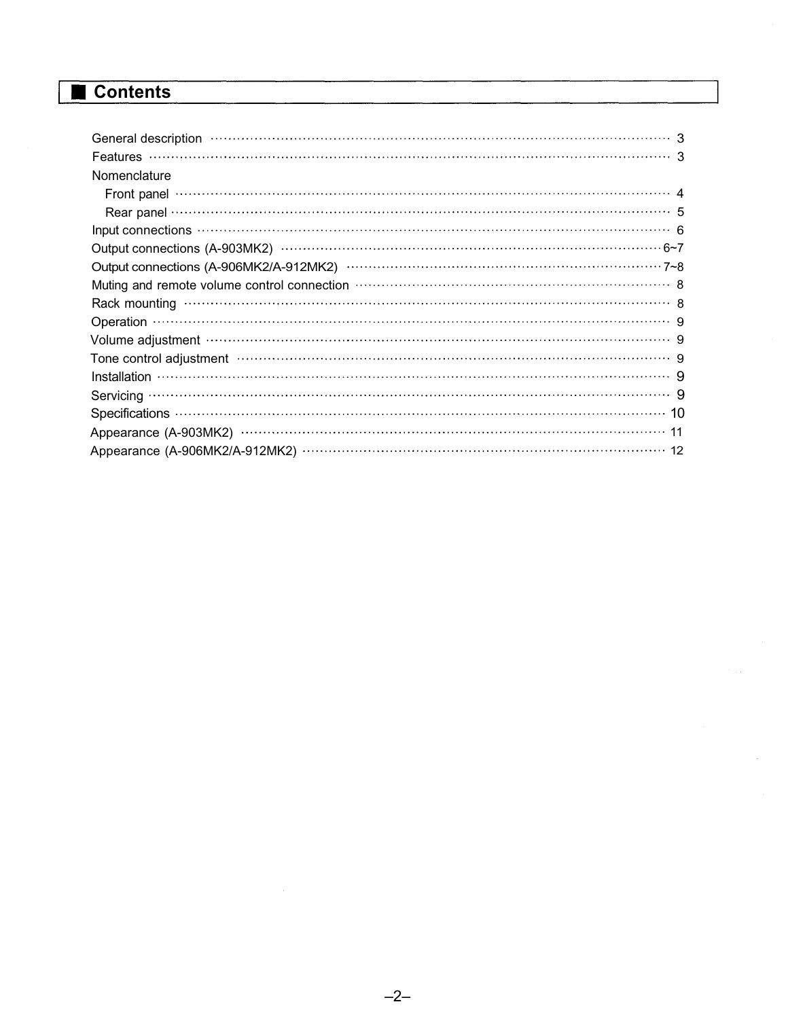# **Contents**

| General description (100) continuous contractor contractor contractor contractor contractor contractor contractor contractor contractor contractor contractor contractor contractor contractor contractor contractor contracto |
|--------------------------------------------------------------------------------------------------------------------------------------------------------------------------------------------------------------------------------|
|                                                                                                                                                                                                                                |
| Nomenclature                                                                                                                                                                                                                   |
| Front panel $\cdots$ $\cdots$ $\cdots$ $\cdots$ $\cdots$ $\cdots$ $\cdots$ $\cdots$ $\cdots$ $\cdots$ $\cdots$ $\cdots$ $\cdots$ $\cdots$ $\cdots$ $\cdots$ $\cdots$ $\cdots$ $\cdots$                                         |
|                                                                                                                                                                                                                                |
| Input connections (1) connections (1) contract to the contract of the connections (1) connections (1) connections (1) connections (1) connections (1) connections (1) connections (2) connections (2) connections (2) connecti |
|                                                                                                                                                                                                                                |
|                                                                                                                                                                                                                                |
| Muting and remote volume control connection material control of a statement of a statement of a statement of a                                                                                                                 |
|                                                                                                                                                                                                                                |
|                                                                                                                                                                                                                                |
| Volume adjustment www.www.www.www.www.www.www.www.www.web.com                                                                                                                                                                  |
| Tone control adjustment manufactured control of the control of the control adjustment manufactured control of                                                                                                                  |
| $\boxed{\text{Instantallation}}$                                                                                                                                                                                               |
|                                                                                                                                                                                                                                |
|                                                                                                                                                                                                                                |
|                                                                                                                                                                                                                                |
| Appearance (A-906MK2/A-912MK2) ………………………………………………………………… 12                                                                                                                                                                    |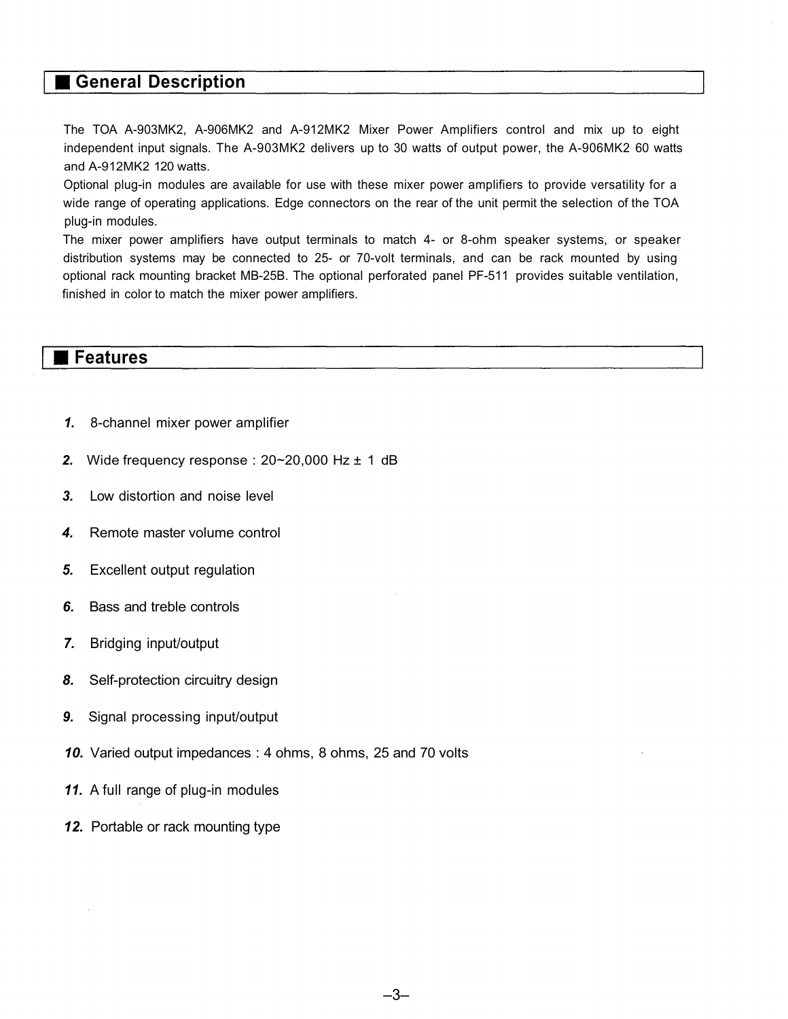### **General Description**

The TOA A-903MK2, A-906MK2 and A-912MK2 Mixer Power Amplifiers control and mix up to eight independent input signals. The A-903MK2 delivers up to 30 watts of output power, the A-906MK2 60 watts and A-912MK2 120 watts.

Optional plug-in modules are available for use with these mixer power amplifiers to provide versatility for a wide range of operating applications. Edge connectors on the rear of the unit permit the selection of the TOA plug-in modules.

The mixer power amplifiers have output terminals to match 4- or 8-ohm speaker systems, or speaker distribution systems may be connected to 25- or 70-volt terminals, and can be rack mounted by using optional rack mounting bracket MB-25B. The optional perforated panel PF-511 provides suitable ventilation, finished in color to match the mixer power amplifiers.

#### **Features**

- *1.* 8-channel mixer power amplifier
- *2.* Wide frequency response : 20~20,000 Hz ± 1 dB
- *3.* Low distortion and noise level
- *4.* Remote master volume control
- *5.* Excellent output regulation
- *6.* Bass and treble controls
- *7.* Bridging input/output
- *8.* Self-protection circuitry design
- *9.* Signal processing input/output
- *10.* Varied output impedances : 4 ohms, 8 ohms, 25 and 70 volts
- *11.* A full range of plug-in modules
- *12.* Portable or rack mounting type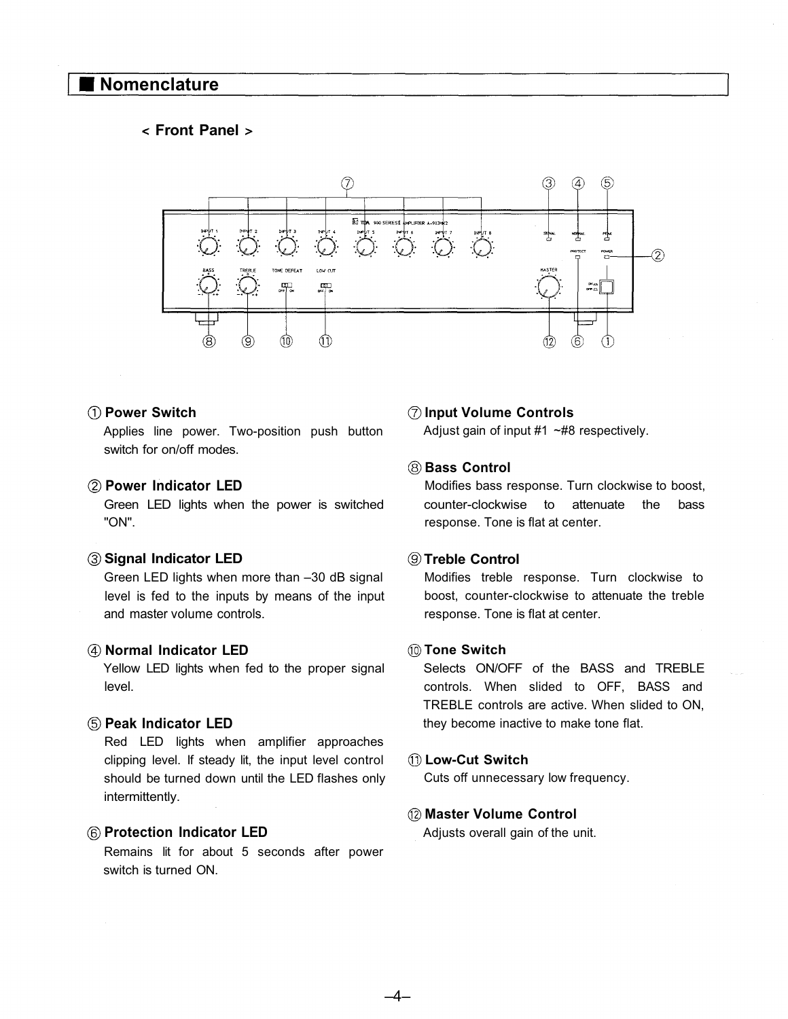### **Nomenclature**

#### **Front Panel**



#### **Power Switch**

Applies line power. Two-position push button switch for on/off modes.

#### **Power Indicator LED**

Green LED lights when the power is switched "ON".

#### **Signal Indicator LED**

Green LED lights when more than –30 dB signal level is fed to the inputs by means of the input and master volume controls.

#### **Normal Indicator LED**

Yellow LED lights when fed to the proper signal level.

#### **Peak Indicator LED**

Red LED lights when amplifier approaches clipping level. If steady lit, the input level control should be turned down until the LED flashes only intermittently.

#### **Protection Indicator LED**

Remains lit for about 5 seconds after power switch is turned ON.

#### **Input Volume Controls**

Adjust gain of input #1 ~#8 respectively.

#### **Bass Control**

Modifies bass response. Turn clockwise to boost, counter-clockwise to attenuate the bass response. Tone is flat at center.

#### **Treble Control**

Modifies treble response. Turn clockwise to boost, counter-clockwise to attenuate the treble response. Tone is flat at center.

#### **Tone Switch**

Selects ON/OFF of the BASS and TREBLE controls. When slided to OFF, BASS and TREBLE controls are active. When slided to ON, they become inactive to make tone flat.

#### **Low-Cut Switch**

–4–

Cuts off unnecessary low frequency.

#### **Master Volume Control**

Adjusts overall gain of the unit.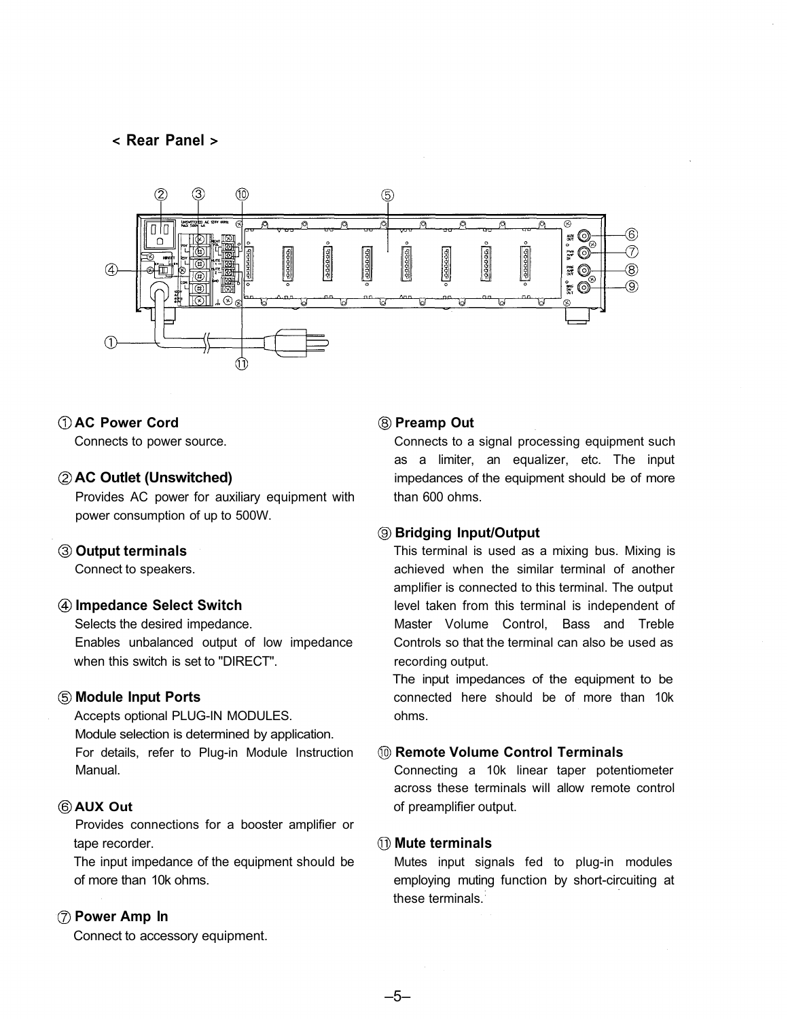#### **Rear Panel**



#### **AC Power Cord**

Connects to power source.

#### **AC Outlet (Unswitched)**

Provides AC power for auxiliary equipment with power consumption of up to 500W.

#### **Output terminals**

Connect to speakers.

#### **Impedance Select Switch**

Selects the desired impedance. Enables unbalanced output of low impedance when this switch is set to "DIRECT".

#### **Module Input Ports**

Accepts optional PLUG-IN MODULES. Module selection is determined by application. For details, refer to Plug-in Module Instruction Manual.

#### **AUX Out**

Provides connections for a booster amplifier or tape recorder.

The input impedance of the equipment should be of more than 10k ohms.

#### **Power Amp In**

Connect to accessory equipment.

#### **Preamp Out**

Connects to a signal processing equipment such as a limiter, an equalizer, etc. The input impedances of the equipment should be of more than 600 ohms.

#### **Bridging Input/Output**

This terminal is used as a mixing bus. Mixing is achieved when the similar terminal of another amplifier is connected to this terminal. The output level taken from this terminal is independent of Master Volume Control, Bass and Treble Controls so that the terminal can also be used as recording output.

The input impedances of the equipment to be connected here should be of more than 10k ohms.

#### **Remote Volume Control Terminals**

Connecting a 10k linear taper potentiometer across these terminals will allow remote control of preamplifier output.

#### **Mute terminals**

–5–

Mutes input signals fed to plug-in modules employing muting function by short-circuiting at these terminals.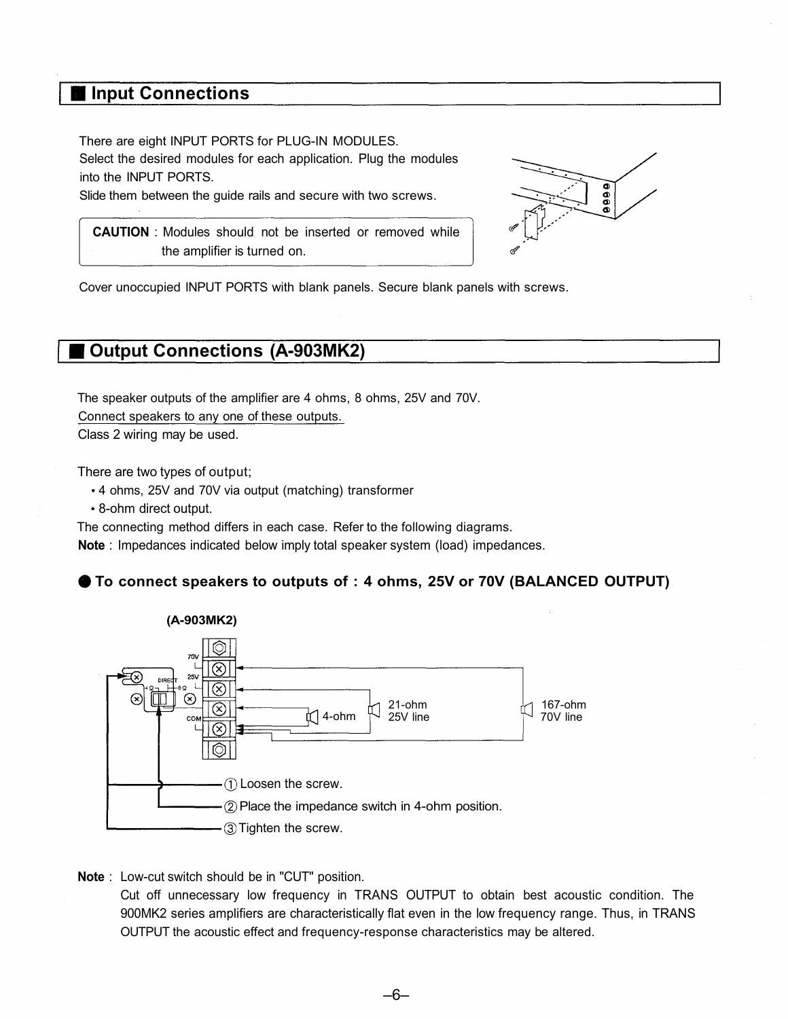# **Input Connections**

There are eight INPUT PORTS for PLUG-IN MODULES. Select the desired modules for each application. Plug the modules into the INPUT PORTS.

Slide them between the guide rails and secure with two screws.

**CAUTION** : Modules should not be inserted or removed while the amplifier is turned on.



Cover unoccupied INPUT PORTS with blank panels. Secure blank panels with screws.

# **Output Connections (A-903MK2)**

The speaker outputs of the amplifier are 4 ohms, 8 ohms, 25V and 70V. Connect speakers to any one of these outputs. Class 2 wiring may be used.

There are two types of output;

- 4 ohms, 25V and 70V via output (matching) transformer
- 8-ohm direct output.

The connecting method differs in each case. Refer to the following diagrams.

**Note** : Impedances indicated below imply total speaker system (load) impedances.

#### **To connect speakers to outputs of : 4 ohms, 25V or 70V (BALANCED OUTPUT)**



**Note** : Low-cut switch should be in "CUT" position.

Cut off unnecessary low frequency in TRANS OUTPUT to obtain best acoustic condition. The 900MK2 series amplifiers are characteristically flat even in the low frequency range. Thus, in TRANS OUTPUT the acoustic effect and frequency-response characteristics may be altered.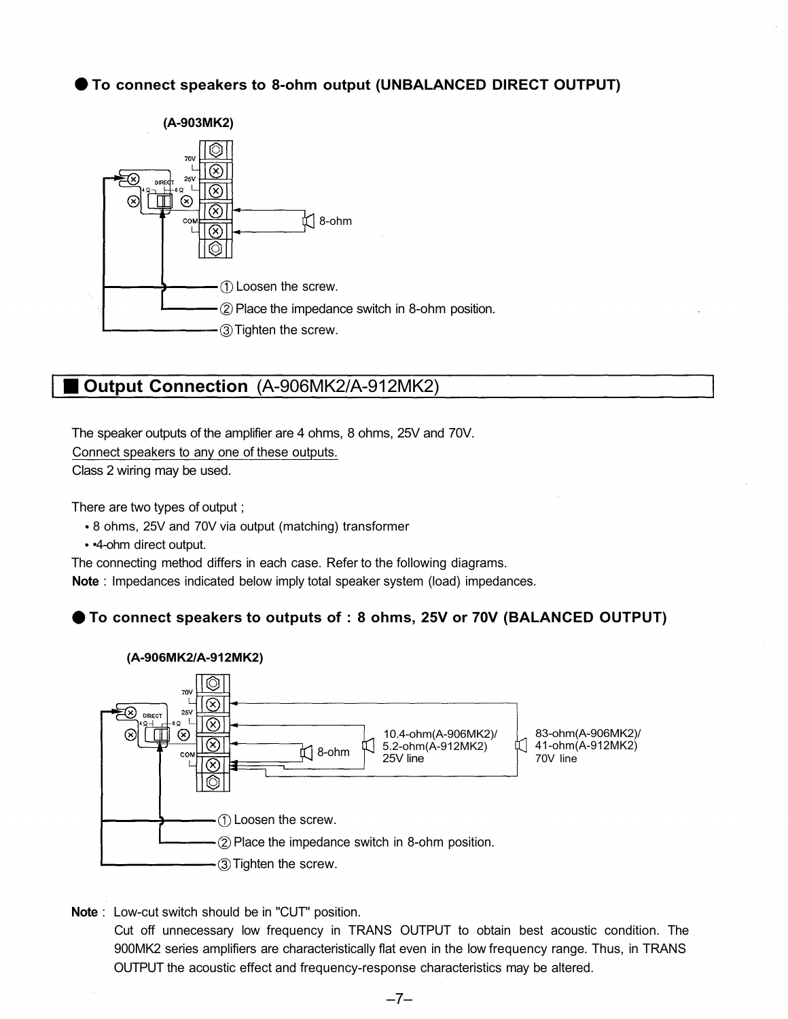### **To connect speakers to 8-ohm output (UNBALANCED DIRECT OUTPUT)**



# **Output Connection** (A-906MK2/A-912MK2)

The speaker outputs of the amplifier are 4 ohms, 8 ohms, 25V and 70V.

Connect speakers to any one of these outputs.

Class 2 wiring may be used.

There are two types of output ;

- 8 ohms, 25V and 70V via output (matching) transformer
- •4-ohm direct output.

The connecting method differs in each case. Refer to the following diagrams.

**Note** : Impedances indicated below imply total speaker system (load) impedances.

**To connect speakers to outputs of : 8 ohms, 25V or 70V (BALANCED OUTPUT)**



**Note** : Low-cut switch should be in "CUT" position.

Cut off unnecessary low frequency in TRANS OUTPUT to obtain best acoustic condition. The 900MK2 series amplifiers are characteristically flat even in the low frequency range. Thus, in TRANS OUTPUT the acoustic effect and frequency-response characteristics may be altered.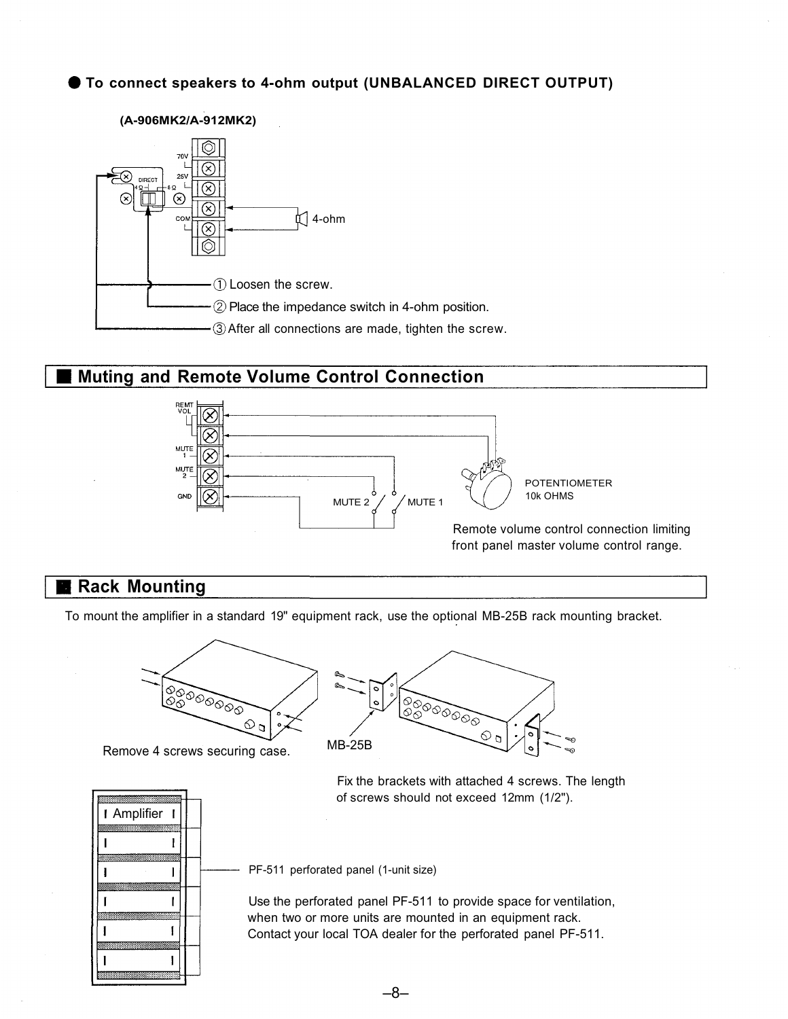### **To connect speakers to 4-ohm output (UNBALANCED DIRECT OUTPUT)**

#### **(A-906MK2/A-912MK2)**



## **Muting and Remote Volume Control Connection**



# **Rack Mounting**

To mount the amplifier in a standard 19" equipment rack, use the optional MB-25B rack mounting bracket.



Remove 4 screws securing case. MB-25B





Fix the brackets with attached 4 screws. The length of screws should not exceed 12mm (1/2").

PF-511 perforated panel (1-unit size)

Use the perforated panel PF-511 to provide space for ventilation, when two or more units are mounted in an equipment rack. Contact your local TOA dealer for the perforated panel PF-511.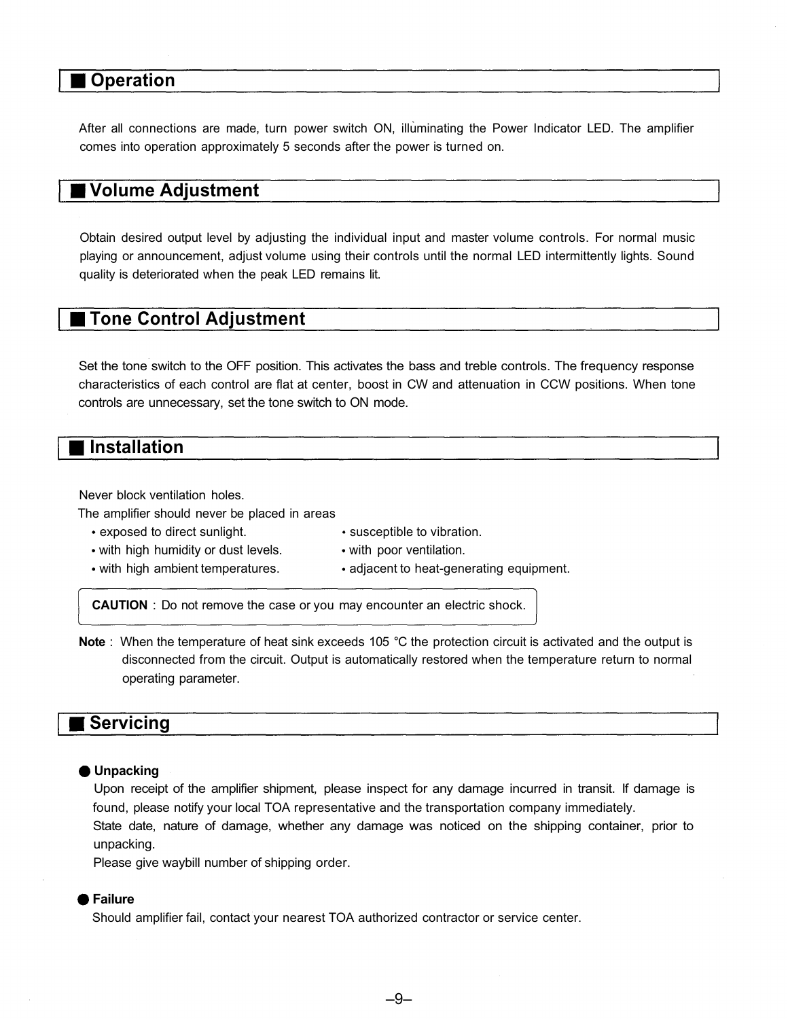# **Operation**

After all connections are made, turn power switch ON, illuminating the Power Indicator LED. The amplifier comes into operation approximately 5 seconds after the power is turned on.

# **Volume Adjustment**

Obtain desired output level by adjusting the individual input and master volume controls. For normal music playing or announcement, adjust volume using their controls until the normal LED intermittently lights. Sound quality is deteriorated when the peak LED remains lit.

## **Tone Control Adjustment**

Set the tone switch to the OFF position. This activates the bass and treble controls. The frequency response characteristics of each control are flat at center, boost in CW and attenuation in CCW positions. When tone controls are unnecessary, set the tone switch to ON mode.

## **Installation**

Never block ventilation holes.

The amplifier should never be placed in areas

- exposed to direct sunlight.
- susceptible to vibration.
- with poor ventilation.
- with high humidity or dust levels. with high ambient temperatures.
- adjacent to heat-generating equipment.
- **CAUTION** : Do not remove the case or you may encounter an electric shock.
- **Note** : When the temperature of heat sink exceeds 105 °C the protection circuit is activated and the output is disconnected from the circuit. Output is automatically restored when the temperature return to normal operating parameter.

### ■ Servicing

#### **Unpacking**

Upon receipt of the amplifier shipment, please inspect for any damage incurred in transit. If damage is found, please notify your local TOA representative and the transportation company immediately.

State date, nature of damage, whether any damage was noticed on the shipping container, prior to unpacking.

Please give waybill number of shipping order.

#### **Failure**

Should amplifier fail, contact your nearest TOA authorized contractor or service center.

–9–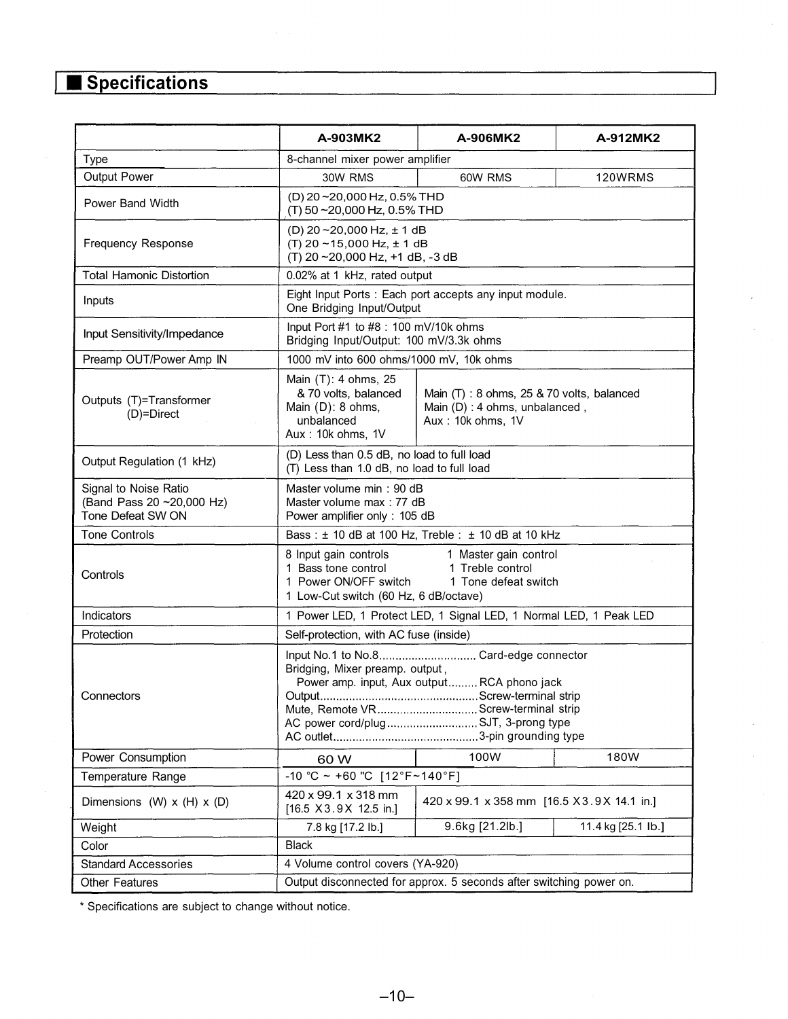# **Specifications**

|                                                                        | A-903MK2                                                                                                                                                                                                 | A-906MK2                                                                                        | A-912MK2           |  |
|------------------------------------------------------------------------|----------------------------------------------------------------------------------------------------------------------------------------------------------------------------------------------------------|-------------------------------------------------------------------------------------------------|--------------------|--|
| <b>Type</b>                                                            | 8-channel mixer power amplifier                                                                                                                                                                          |                                                                                                 |                    |  |
| Output Power                                                           | 30W RMS                                                                                                                                                                                                  | 60W RMS                                                                                         | 120WRMS            |  |
| Power Band Width                                                       | (D) 20~20,000 Hz, 0.5% THD<br>(T) 50~20,000 Hz, 0.5% THD                                                                                                                                                 |                                                                                                 |                    |  |
| <b>Frequency Response</b>                                              | (D) $20 - 20,000$ Hz, $\pm 1$ dB<br>(T) 20 $\sim$ 15,000 Hz, $\pm$ 1 dB<br>(T) 20~20,000 Hz, +1 dB, -3 dB                                                                                                |                                                                                                 |                    |  |
| <b>Total Hamonic Distortion</b>                                        | 0.02% at 1 kHz, rated output                                                                                                                                                                             |                                                                                                 |                    |  |
| Inputs                                                                 | Eight Input Ports: Each port accepts any input module.<br>One Bridging Input/Output                                                                                                                      |                                                                                                 |                    |  |
| Input Sensitivity/Impedance                                            | Input Port #1 to #8 : 100 mV/10k ohms<br>Bridging Input/Output: 100 mV/3.3k ohms                                                                                                                         |                                                                                                 |                    |  |
| Preamp OUT/Power Amp IN                                                | 1000 mV into 600 ohms/1000 mV, 10k ohms                                                                                                                                                                  |                                                                                                 |                    |  |
| Outputs (T)=Transformer<br>$(D)$ =Direct                               | Main (T): 4 ohms, 25<br>& 70 volts, balanced<br>Main (D): 8 ohms,<br>unbalanced<br>Aux: 10k ohms, 1V                                                                                                     | Main (T): 8 ohms, 25 & 70 volts, balanced<br>Main (D): 4 ohms, unbalanced,<br>Aux: 10k ohms, 1V |                    |  |
| Output Regulation (1 kHz)                                              | (D) Less than 0.5 dB, no load to full load<br>(T) Less than 1.0 dB, no load to full load                                                                                                                 |                                                                                                 |                    |  |
| Signal to Noise Ratio<br>(Band Pass 20~20,000 Hz)<br>Tone Defeat SW ON | Master volume min: 90 dB<br>Master volume max: 77 dB<br>Power amplifier only: 105 dB                                                                                                                     |                                                                                                 |                    |  |
| <b>Tone Controls</b>                                                   | Bass: ± 10 dB at 100 Hz, Treble: ± 10 dB at 10 kHz                                                                                                                                                       |                                                                                                 |                    |  |
| Controls                                                               | 8 Input gain controls<br>1 Master gain control<br>1 Bass tone control<br>1 Treble control<br>1 Power ON/OFF switch<br>1 Tone defeat switch<br>1 Low-Cut switch (60 Hz, 6 dB/octave)                      |                                                                                                 |                    |  |
| Indicators                                                             | 1 Power LED, 1 Protect LED, 1 Signal LED, 1 Normal LED, 1 Peak LED                                                                                                                                       |                                                                                                 |                    |  |
| Protection                                                             | Self-protection, with AC fuse (inside)                                                                                                                                                                   |                                                                                                 |                    |  |
| Connectors                                                             | Input No.1 to No.8 Card-edge connector<br>Bridging, Mixer preamp. output,<br>Power amp. input, Aux output RCA phono jack<br>Mute, Remote VR Screw-terminal strip<br>AC power cord/plug SJT, 3-prong type |                                                                                                 |                    |  |
| Power Consumption                                                      | 60 W                                                                                                                                                                                                     | 100W                                                                                            | 180W               |  |
| Temperature Range                                                      | -10 °C ~ +60 "C [12°F~140°F]                                                                                                                                                                             |                                                                                                 |                    |  |
| Dimensions (W) $x$ (H) $x$ (D)                                         | 420 x 99.1 x 318 mm<br>[16.5 X3.9X 12.5 in.]                                                                                                                                                             | 420 x 99.1 x 358 mm [16.5 X 3.9 X 14.1 in.]                                                     |                    |  |
| Weight                                                                 | 7.8 kg [17.2 lb.]                                                                                                                                                                                        | 9.6kg [21.2lb.]                                                                                 | 11.4 kg [25.1 lb.] |  |
| Color                                                                  | <b>Black</b>                                                                                                                                                                                             |                                                                                                 |                    |  |
| <b>Standard Accessories</b>                                            | 4 Volume control covers (YA-920)                                                                                                                                                                         |                                                                                                 |                    |  |
| Other Features                                                         | Output disconnected for approx. 5 seconds after switching power on.                                                                                                                                      |                                                                                                 |                    |  |

\* Specifications are subject to change without notice.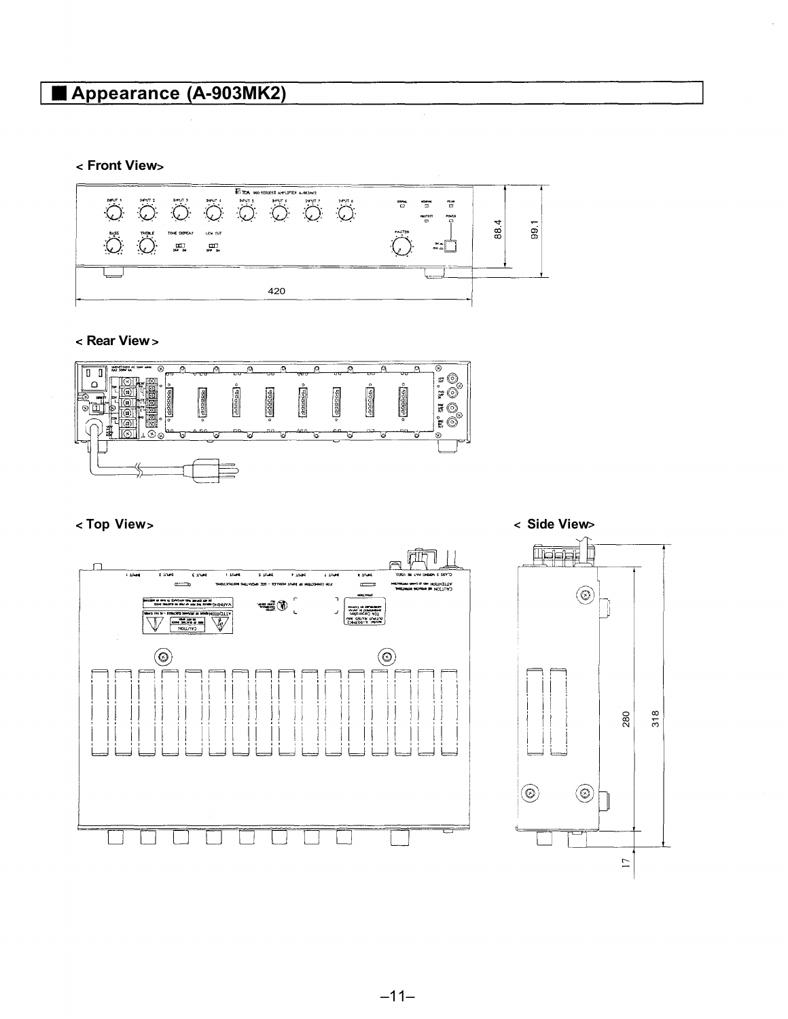# **Appearance (A-903MK2)**

### **Front View**



#### **Rear View**







#### **Top View** and  $\sim$  Side View states of  $\sim$  Side View states of  $\sim$  Side View states of  $\sim$  Side View states of  $\sim$